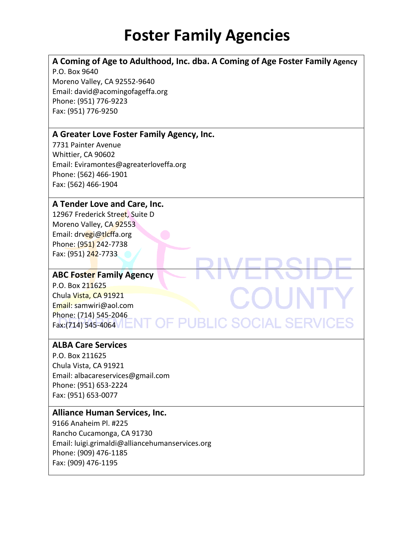### **A Coming of Age to Adulthood, Inc. dba. A Coming of Age Foster Family Agency**

**/ERSI** 

**T OF PUBLIC SOCIAL SERVICES** 

COUNT

P.O. Box 9640 Moreno Valley, CA 92552-9640 Email: david@acomingofageffa.org Phone: (951) 776-9223 Fax: (951) 776-9250

#### **A Greater Love Foster Family Agency, Inc.**

7731 Painter Avenue Whittier, CA 90602 Email: Eviramontes@agreaterloveffa.org Phone: (562) 466-1901 Fax: (562) 466-1904

#### **A Tender Love and Care, Inc.**

12967 Frederick Street, Suite D Moreno Valley, CA 92553 Email: drvegi@tlcffa.org Phone: (951) 242-7738 Fax: (951) 242-7733

#### **ABC Foster Family Agency**

P.O. Box 211625 Chula Vista, CA 91921 Email: samwiri@aol.com Phone: (714) 545-2046 Fax:(714) 545-4064

#### **ALBA Care Services**

P.O. Box 211625 Chula Vista, CA 91921 Email: albacareservices@gmail.com Phone: (951) 653-2224 Fax: (951) 653-0077

#### **Alliance Human Services, Inc.**

9166 Anaheim Pl. #225 Rancho Cucamonga, CA 91730 Email: luigi.grimaldi@alliancehumanservices.org Phone: (909) 476-1185 Fax: (909) 476-1195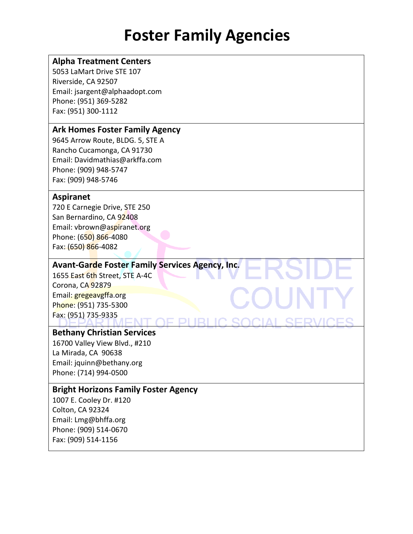#### **Alpha Treatment Centers**

5053 LaMart Drive STE 107 Riverside, CA 92507 Email: jsargent@alphaadopt.com Phone: (951) 369-5282 Fax: (951) 300-1112

#### **Ark Homes Foster Family Agency**

9645 Arrow Route, BLDG. 5, STE A Rancho Cucamonga, CA 91730 Email: Davidmathias@arkffa.com Phone: (909) 948-5747 Fax: (909) 948-5746

#### **Aspiranet**

720 E Carnegie Drive, STE 250 San Bernardino, CA 92408 Email: vbrown@aspiranet.org Phone: (650) 866-4080 Fax: (650) 866-4082

### **Avant-Garde Foster Family Services Agency, Inc.**

1655 East 6th Street, STE A-4C Corona, CA 92879 Email: gregeavgffa.org Phone: (951) 735-5300 Fax: (951) 735-9335

#### **Bethany Christian Services**

16700 Valley View Blvd., #210 La Mirada, CA 90638 Email: jquinn@bethany.org Phone: (714) 994-0500

#### **Bright Horizons Family Foster Agency**

1007 E. Cooley Dr. #120 Colton, CA 92324 Email: Lmg@bhffa.org Phone: (909) 514-0670 Fax: (909) 514-1156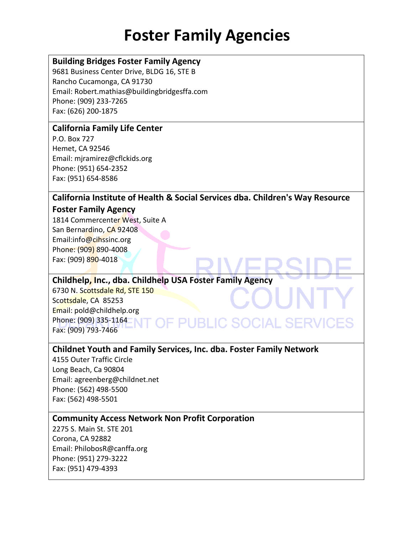### **Building Bridges Foster Family Agency**

9681 Business Center Drive, BLDG 16, STE B Rancho Cucamonga, CA 91730 Email: Robert.mathias@buildingbridgesffa.com Phone: (909) 233-7265 Fax: (626) 200-1875

#### **California Family Life Center**

P.O. Box 727 Hemet, CA 92546 Email: mjramirez@cflckids.org Phone: (951) 654-2352 Fax: (951) 654-8586

### **California Institute of Health & Social Services dba. Children's Way Resource**

#### **Foster Family Agency**

1814 Commercenter West, Suite A San Bernardino, CA 92408 Email:info@cihssinc.org Phone: (909) 890-4008 Fax: (909) 890-4018

### **Childhelp, Inc., dba. Childhelp USA Foster Family Agency**

6730 N. Scottsdale Rd, STE 150 Scottsdale, CA 85253 Email: pold@childhelp.org Phone: (909) 335-1164 Fax: (909) 793-7466

### **Childnet Youth and Family Services, Inc. dba. Foster Family Network**

**DF PUBLIC SOCIAL SERV** 

4155 Outer Traffic Circle Long Beach, Ca 90804 Email: agreenberg@childnet.net Phone: (562) 498-5500 Fax: (562) 498-5501

#### **Community Access Network Non Profit Corporation**

2275 S. Main St. STE 201 Corona, CA 92882 Email: PhilobosR@canffa.org Phone: (951) 279-3222 Fax: (951) 479-4393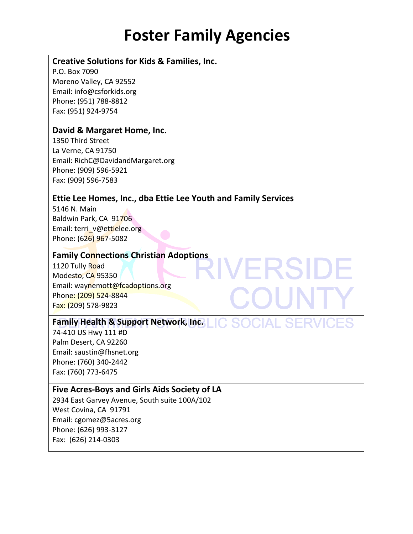VERSIDE

COUI

#### **Creative Solutions for Kids & Families, Inc.**

P.O. Box 7090 Moreno Valley, CA 92552 Email: info@csforkids.org Phone: (951) 788-8812 Fax: (951) 924-9754

#### **David & Margaret Home, Inc.**

1350 Third Street La Verne, CA 91750 Email: RichC@DavidandMargaret.org Phone: (909) 596-5921 Fax: (909) 596-7583

#### **Ettie Lee Homes, Inc., dba Ettie Lee Youth and Family Services**

5146 N. Main Baldwin Park, CA 91706 Email: terri\_v@ettielee.org Phone: (626) 967-5082

#### **Family Connections Christian Adoptions**

1120 Tully Road Modesto, CA 95350 Email: waynemott@fcadoptions.org Phone: (209) 524-8844 Fax: (209) 578-9823

#### **Family Health & Support Network, Inc.**

74-410 US Hwy 111 #D Palm Desert, CA 92260 Email: saustin@fhsnet.org Phone: (760) 340-2442 Fax: (760) 773-6475

#### **Five Acres-Boys and Girls Aids Society of LA**

2934 East Garvey Avenue, South suite 100A/102 West Covina, CA 91791 Email: cgomez@5acres.org Phone: (626) 993-3127 Fax: (626) 214-0303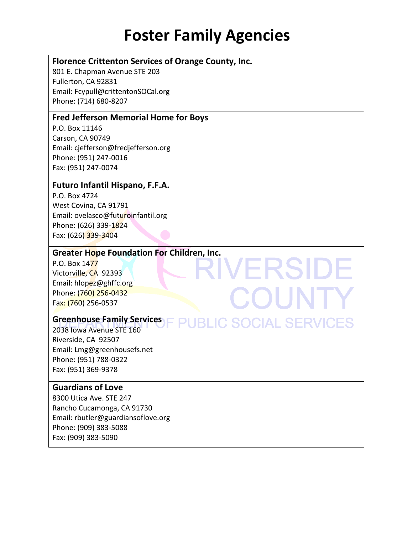VERSIDE

COUI

**PUBLIC SOCIAL SERVICES** 

#### **Florence Crittenton Services of Orange County, Inc.**

801 E. Chapman Avenue STE 203 Fullerton, CA 92831 Email: Fcypull@crittentonSOCal.org Phone: (714) 680-8207

#### **Fred Jefferson Memorial Home for Boys**

P.O. Box 11146 Carson, CA 90749 Email: cjefferson@fredjefferson.org Phone: (951) 247-0016 Fax: (951) 247-0074

### **Futuro Infantil Hispano, F.F.A.**

P.O. Box 4724 West Covina, CA 91791 Email: ovelasco@futuroinfantil.org Phone: (626) 339-1824 Fax: (626) 339-3404

#### **Greater Hope Foundation For Children, Inc.**

P.O. Box 1477 Victorville, CA 92393 Email: hlopez@ghffc.org Phone: (760) 256-0432 Fax: (760) 256-0537

#### **Greenhouse Family Services**

2038 Iowa Avenue STE 160 Riverside, CA 92507 Email: Lmg@greenhousefs.net Phone: (951) 788-0322 Fax: (951) 369-9378

### **Guardians of Love**

8300 Utica Ave. STE 247 Rancho Cucamonga, CA 91730 Email: rbutler@guardiansoflove.org Phone: (909) 383-5088 Fax: (909) 383-5090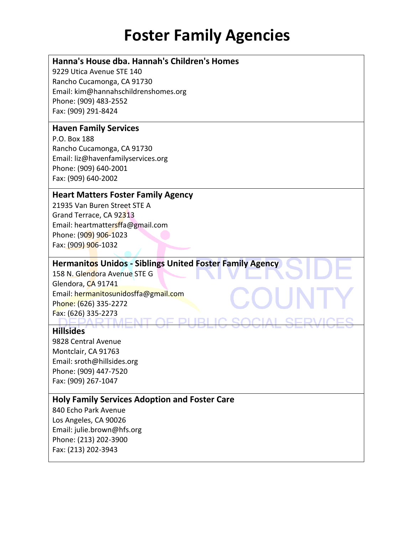### **Hanna's House dba. Hannah's Children's Homes**

9229 Utica Avenue STE 140 Rancho Cucamonga, CA 91730 Email: kim@hannahschildrenshomes.org Phone: (909) 483-2552 Fax: (909) 291-8424

#### **Haven Family Services**

P.O. Box 188 Rancho Cucamonga, CA 91730 Email: liz@havenfamilyservices.org Phone: (909) 640-2001 Fax: (909) 640-2002

#### **Heart Matters Foster Family Agency**

21935 Van Buren Street STE A Grand Terrace, CA 92313 Email: heartmattersffa@gmail.com Phone: (909) 906-1023 Fax: (909) 906-1032

#### **Hermanitos Unidos - Siblings United Foster Family Agency**

158 N. Glendora Avenue STE G Glendora, CA 91741 Email: hermanitosunidosffa@gmail.com Phone: (626) 335-2272 Fax: (626) 335-2273

#### **Hillsides**

9828 Central Avenue Montclair, CA 91763 Email: sroth@hillsides.org Phone: (909) 447-7520 Fax: (909) 267-1047

#### **Holy Family Services Adoption and Foster Care**

840 Echo Park Avenue Los Angeles, CA 90026 Email: julie.brown@hfs.org Phone: (213) 202-3900 Fax: (213) 202-3943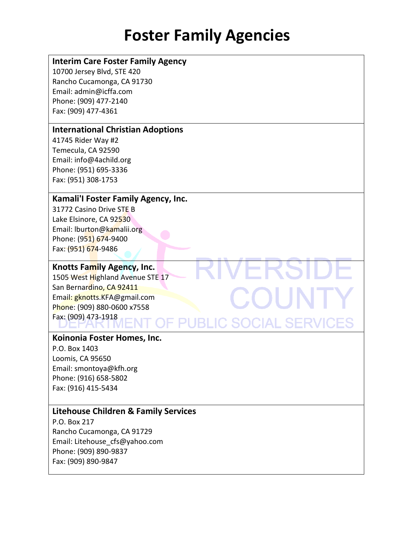OU

#### **Interim Care Foster Family Agency**

10700 Jersey Blvd, STE 420 Rancho Cucamonga, CA 91730 Email: admin@icffa.com Phone: (909) 477-2140 Fax: (909) 477-4361

### **International Christian Adoptions**

41745 Rider Way #2 Temecula, CA 92590 Email: info@4achild.org Phone: (951) 695-3336 Fax: (951) 308-1753

#### **Kamali'I Foster Family Agency, Inc.**

31772 Casino Drive STE B Lake Elsinore, CA 92530 Email: lburton@kamalii.org Phone: (951) 674-9400 Fax: (951) 674-9486

#### **Knotts Family Agency, Inc.**

1505 West Highland Avenue STE 17 San Bernardino, CA 92411 Email: gknotts.KFA@gmail.com Phone: (909) 880-0600 x7558 Fax: (909) 473-1918 **OF PUBLIC SOCIAL SERVICES** 

#### **Koinonia Foster Homes, Inc.**

P.O. Box 1403 Loomis, CA 95650 Email: smontoya@kfh.org Phone: (916) 658-5802 Fax: (916) 415-5434

#### **Litehouse Children & Family Services**

P.O. Box 217 Rancho Cucamonga, CA 91729 Email: Litehouse\_cfs@yahoo.com Phone: (909) 890-9837 Fax: (909) 890-9847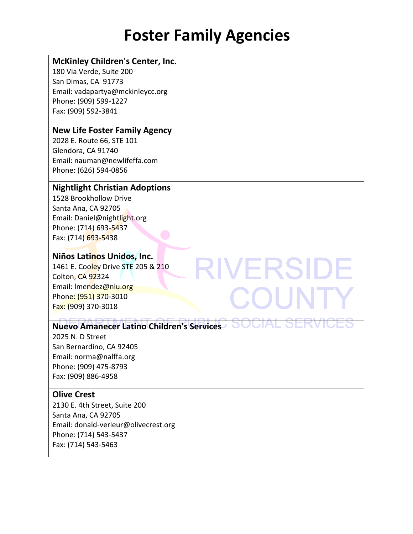**RIVERSIDE** 

COUNT

#### **McKinley Children's Center, Inc.**

180 Via Verde, Suite 200 San Dimas, CA 91773 Email: vadapartya@mckinleycc.org Phone: (909) 599-1227 Fax: (909) 592-3841

#### **New Life Foster Family Agency**

2028 E. Route 66, STE 101 Glendora, CA 91740 Email: nauman@newlifeffa.com Phone: (626) 594-0856

#### **Nightlight Christian Adoptions**

1528 Brookhollow Drive Santa Ana, CA 92705 Email: Daniel@nightlight.org Phone: (714) 693-5437 Fax: (714) 693-5438

#### **Niños Latinos Unidos, Inc.**

1461 E. Cooley Drive STE 205 & 210 Colton, CA 92324 Email: lmendez@nlu.org Phone: (951) 370-3010 Fax: (909) 370-3018

### **Nuevo Amanecer Latino Children's Services**

2025 N. D Street San Bernardino, CA 92405 Email: norma@nalffa.org Phone: (909) 475-8793 Fax: (909) 886-4958

#### **Olive Crest**

2130 E. 4th Street, Suite 200 Santa Ana, CA 92705 Email: donald-verleur@olivecrest.org Phone: (714) 543-5437 Fax: (714) 543-5463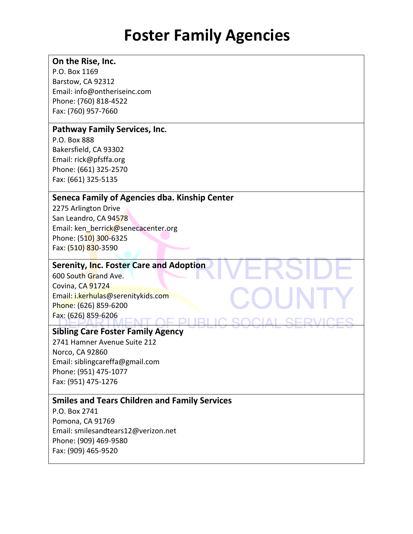#### **On the Rise, Inc.**

P.O. Box 1169 Barstow, CA 92312 Email: info@ontheriseinc.com Phone: (760) 818-4522 Fax: (760) 957-7660

#### **Pathway Family Services, Inc.**

P.O. Box 888 Bakersfield, CA 93302 Email: rick@pfsffa.org Phone: (661) 325-2570 Fax: (661) 325-5135

#### **Seneca Family of Agencies dba. Kinship Center**

2275 Arlington Drive San Leandro, CA 94578 Email: ken\_berrick@senecacenter.org Phone: (510) 300-6325 Fax: (510) 830-3590

#### **Serenity, Inc. Foster Care and Adoption**

600 South Grand Ave. Covina, CA 91724 Email: i.kerhulas@serenitykids.com Phone: (626) 859-6200 Fax: (626) 859-6206 NT AE DHRH

### **Sibling Care Foster Family Agency**

2741 Hamner Avenue Suite 212 Norco, CA 92860 Email: siblingcareffa@gmail.com Phone: (951) 475-1077 Fax: (951) 475-1276

### **Smiles and Tears Children and Family Services**

P.O. Box 2741 Pomona, CA 91769 Email: smilesandtears12@verizon.net Phone: (909) 469-9580 Fax: (909) 465-9520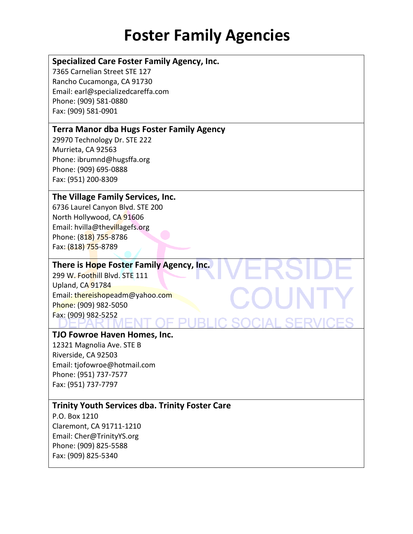#### **Specialized Care Foster Family Agency, Inc.**

7365 Carnelian Street STE 127 Rancho Cucamonga, CA 91730 Email: earl@specializedcareffa.com Phone: (909) 581-0880 Fax: (909) 581-0901

#### **Terra Manor dba Hugs Foster Family Agency**

29970 Technology Dr. STE 222 Murrieta, CA 92563 Phone: ibrumnd@hugsffa.org Phone: (909) 695-0888 Fax: (951) 200-8309

#### **The Village Family Services, Inc.**

6736 Laurel Canyon Blvd. STE 200 North Hollywood, CA 91606 Email: hvilla@thevillagefs.org Phone: (818) 755-8786 Fax: (818) 755-8789

#### **There is Hope Foster Family Agency, Inc.**

299 W. Foothill Blvd. STE 111 Upland, CA 91784 Email: thereishopeadm@yahoo.com Phone: (909) 982-5050 Fax: (909) 982-5252

#### **TJO Fowroe Haven Homes, Inc.**

12321 Magnolia Ave. STE B Riverside, CA 92503 Email: tjofowroe@hotmail.com Phone: (951) 737-7577 Fax: (951) 737-7797

### **Trinity Youth Services dba. Trinity Foster Care**

P.O. Box 1210 Claremont, CA 91711-1210 Email: Cher@TrinityYS.org Phone: (909) 825-5588 Fax: (909) 825-5340